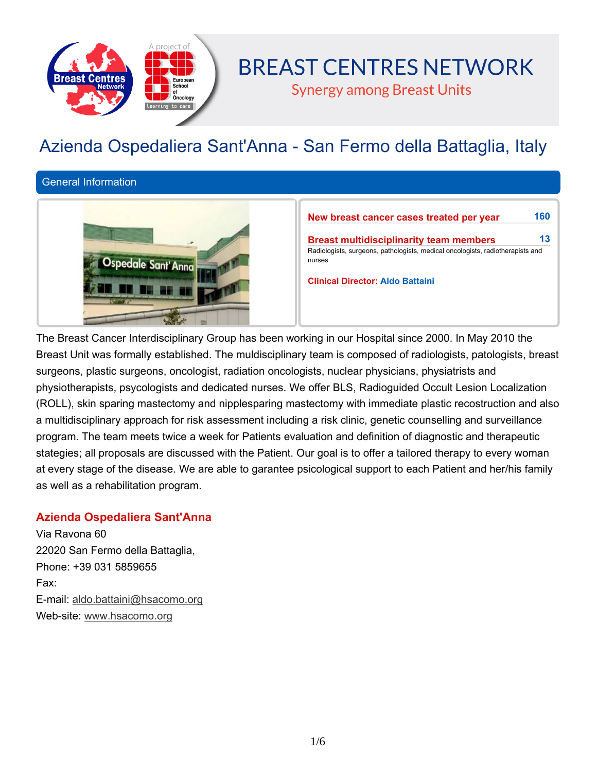

# **BREAST CENTRES NETWORK**

**Synergy among Breast Units** 

# **Azienda Ospedaliera Sant'Anna - San Fermo della Battaglia, Italy**

**General Information**



**New breast cancer cases treated per year 160**

**Breast multidisciplinarity team members 13 Radiologists, surgeons, pathologists, medical oncologists, radiotherapists and nurses**

**Clinical Director: Aldo Battaini**

**The Breast Cancer Interdisciplinary Group has been working in our Hospital since 2000. In May 2010 the Breast Unit was formally established. The muldisciplinary team is composed of radiologists, patologists, breast surgeons, plastic surgeons, oncologist, radiation oncologists, nuclear physicians, physiatrists and physiotherapists, psycologists and dedicated nurses. We offer BLS, Radioguided Occult Lesion Localization (ROLL), skin sparing mastectomy and nipplesparing mastectomy with immediate plastic recostruction and also a multidisciplinary approach for risk assessment including a risk clinic, genetic counselling and surveillance program. The team meets twice a week for Patients evaluation and definition of diagnostic and therapeutic** stategies; all proposals are discussed with the Patient. Our goal is to offer a tailored therapy to every woman at every stage of the disease. We are able to garantee psicological support to each Patient and her/his family **as well as a rehabilitation program.**

## **Azienda Ospedaliera Sant'Anna**

**Via Ravona 60 22020 San Fermo della Battaglia, Phone: +39 031 5859655 Fax: E-mail: aldo.battaini@hsacomo.org Web-site: www.hsacomo.org**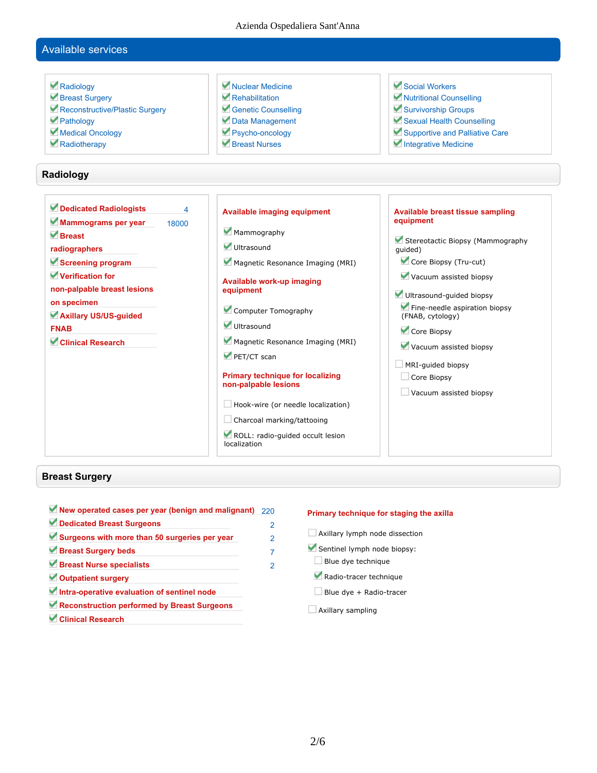Azienda Ospedaliera Sant'Anna

## **Available services**

| Radiology<br>Breast Surgery<br>Reconstructive/Plastic Surgery<br>Pathology<br>Medical Oncology<br>Radiotherapy                                                                                                                        | Nuclear Medicine<br>Rehabilitation<br>Genetic Counselling<br>Data Management<br>Psycho-oncology<br>Breast Nurses                                                                                                                                                                                                                                                                                                                                                   | Social Workers<br>Nutritional Counselling<br>Survivorship Groups<br>Sexual Health Counselling<br>Supportive and Palliative Care<br>Integrative Medicine                                                                                                                                                                                               |
|---------------------------------------------------------------------------------------------------------------------------------------------------------------------------------------------------------------------------------------|--------------------------------------------------------------------------------------------------------------------------------------------------------------------------------------------------------------------------------------------------------------------------------------------------------------------------------------------------------------------------------------------------------------------------------------------------------------------|-------------------------------------------------------------------------------------------------------------------------------------------------------------------------------------------------------------------------------------------------------------------------------------------------------------------------------------------------------|
| Radiology                                                                                                                                                                                                                             |                                                                                                                                                                                                                                                                                                                                                                                                                                                                    |                                                                                                                                                                                                                                                                                                                                                       |
| Dedicated Radiologists<br>Mammograms per year<br>18000<br>Rreast<br>radiographers<br>Screening program<br>Verification for<br>non-palpable breast lesions<br>on specimen<br>Axillary US/US-guided<br><b>FNAB</b><br>Clinical Research | $\overline{\mathbf{A}}$<br><b>Available imaging equipment</b><br>Mammography<br>Ultrasound<br>Magnetic Resonance Imaging (MRI)<br>Available work-up imaging<br>equipment<br>Computer Tomography<br>Ultrasound<br>Magnetic Resonance Imaging (MRI)<br>PET/CT scan<br><b>Primary technique for localizing</b><br>non-palpable lesions<br>$\Box$ Hook-wire (or needle localization)<br>Charcoal marking/tattooing<br>ROLL: radio-guided occult lesion<br>localization | <b>Available breast tissue sampling</b><br>equipment<br>Stereotactic Biopsy (Mammography<br>quided)<br>Core Biopsy (Tru-cut)<br>Vacuum assisted biopsy<br>Ultrasound-guided biopsy<br>Fine-needle aspiration biopsy<br>(FNAB, cytology)<br>Core Biopsy<br>Vacuum assisted biopsy<br>$\Box$ MRI-guided biopsy<br>Core Biopsy<br>Vacuum assisted biopsy |

## **Breast Surgery**

 $\overline{\phantom{a}}$ 

| $\blacksquare$ New operated cases per year (benign and malignant) 220 |                |
|-----------------------------------------------------------------------|----------------|
| Dedicated Breast Surgeons                                             | 2              |
| Surgeons with more than 50 surgeries per year                         | $\mathfrak{p}$ |
| Breast Surgery beds                                                   | 7              |
| Breast Nurse specialists                                              | $\mathcal{P}$  |
| Outpatient surgery                                                    |                |
| Intra-operative evaluation of sentinel node                           |                |
| Reconstruction performed by Breast Surgeons                           |                |
| Clinical Research                                                     |                |

### **Primary technique for staging the axilla**

- **Axillary lymph node dissection**
- **Sentinel lymph node biopsy:**
- **Blue dye technique**
- **Radio-tracer technique**
- **Blue dye + Radio-tracer**
- **Axillary sampling**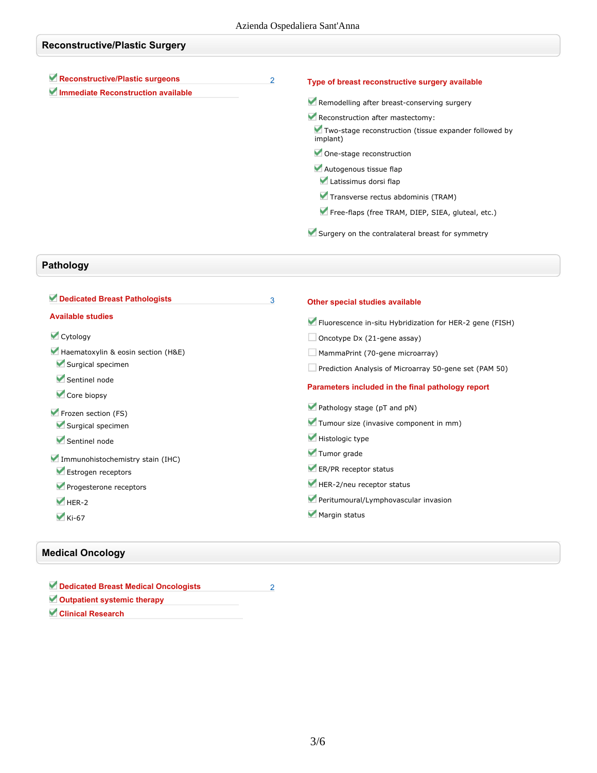| <b>Reconstructive/Plastic Surgery</b>                                 |                |                                                                   |
|-----------------------------------------------------------------------|----------------|-------------------------------------------------------------------|
| Reconstructive/Plastic surgeons<br>Immediate Reconstruction available | $\overline{2}$ | Type of breast reconstructive surgery available                   |
|                                                                       |                | Remodelling after breast-conserving surgery                       |
|                                                                       |                | Reconstruction after mastectomy:                                  |
|                                                                       |                | Two-stage reconstruction (tissue expander followed by<br>implant) |
|                                                                       |                | One-stage reconstruction                                          |
|                                                                       |                | Autogenous tissue flap                                            |
|                                                                       |                | Latissimus dorsi flap                                             |
|                                                                       |                | Transverse rectus abdominis (TRAM)                                |
|                                                                       |                | Free-flaps (free TRAM, DIEP, SIEA, gluteal, etc.)                 |
|                                                                       |                | Surgery on the contralateral breast for symmetry                  |

# **Pathology**

| Dedicated Breast Pathologists      | 3 | Other special studies available                          |
|------------------------------------|---|----------------------------------------------------------|
| <b>Available studies</b>           |   | Fluorescence in-situ Hybridization for HER-2 gene (FISH) |
| Cytology                           |   | Oncotype Dx (21-gene assay)                              |
| Haematoxylin & eosin section (H&E) |   | MammaPrint (70-gene microarray)                          |
| Surgical specimen                  |   | Prediction Analysis of Microarray 50-gene set (PAM 50)   |
| Sentinel node<br>Core biopsy       |   | Parameters included in the final pathology report        |
| Frozen section (FS)                |   | Pathology stage (pT and pN)                              |
| Surgical specimen                  |   | Tumour size (invasive component in mm)                   |
| Sentinel node                      |   | Histologic type                                          |
| Immunohistochemistry stain (IHC)   |   | Tumor grade                                              |
| Estrogen receptors                 |   | ER/PR receptor status                                    |
| Progesterone receptors             |   | HER-2/neu receptor status                                |
| $HER-2$                            |   | Peritumoural/Lymphovascular invasion                     |
| $\blacktriangleright$ Ki-67        |   | Margin status                                            |

## **Medical Oncology**

| Dedicated Breast Medical Oncologists |  |
|--------------------------------------|--|
| Outpatient systemic therapy          |  |
| <b>Clinical Research</b>             |  |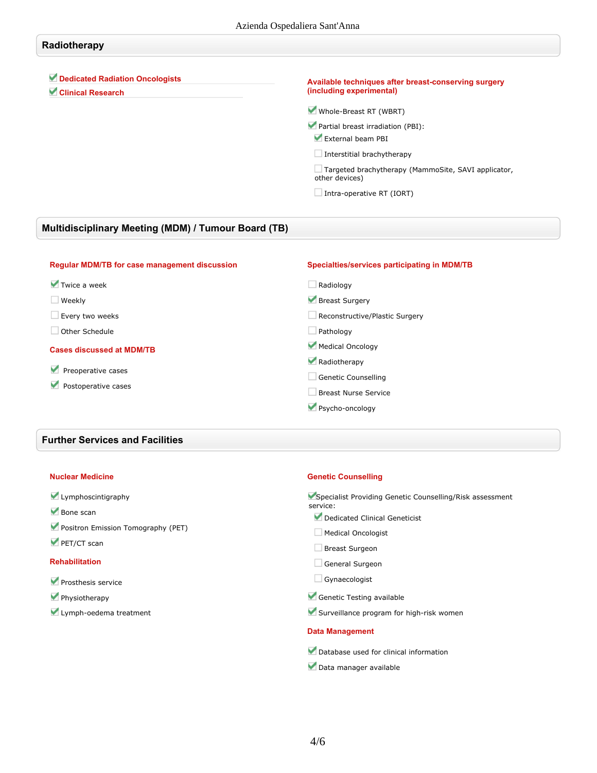## **Radiotherapy Dedicated Radiation Oncologists Clinical Research Available techniques after breast-conserving surgery (including experimental) Whole-Breast RT (WBRT)**

**Partial breast irradiation (PBI):**

**External beam PBI**

**Interstitial brachytherapy**

**Targeted brachytherapy (MammoSite, SAVI applicator, other devices)**

**Intra-operative RT (IORT)**

## **Multidisciplinary Meeting (MDM) / Tumour Board (TB)**

| <b>Regular MDM/TB for case management discussion</b> | Specialties/services participating in MDM/TB |
|------------------------------------------------------|----------------------------------------------|
| $\blacktriangledown$ Twice a week                    | Radiology                                    |
| Weekly                                               | Breast Surgery                               |
| Every two weeks                                      | Reconstructive/Plastic Surgery               |
| Other Schedule                                       | Pathology                                    |
| <b>Cases discussed at MDM/TB</b>                     | Medical Oncology                             |
|                                                      | Radiotherapy                                 |
| Preoperative cases                                   | Genetic Counselling                          |
| Postoperative cases                                  | <b>Breast Nurse Service</b>                  |
|                                                      | Psycho-oncology                              |

### **Further Services and Facilities**

#### **Nuclear Medicine**

#### **Lymphoscintigraphy**

- **Bone scan**
- **Positron Emission Tomography (PET)**
- **PET/CT scan**

#### **Rehabilitation**

- **Prosthesis service**
- **Physiotherapy**
- **Lymph-oedema treatment**

#### **Genetic Counselling**

**Specialist Providing Genetic Counselling/Risk assessment service:**

- **Dedicated Clinical Geneticist**
- **Medical Oncologist**
- **Breast Surgeon**
- **General Surgeon**
- **Gynaecologist**
- **Genetic Testing available**
- **Surveillance program for high-risk women**

#### **Data Management**

- **Database used for clinical information**
- **Data manager available**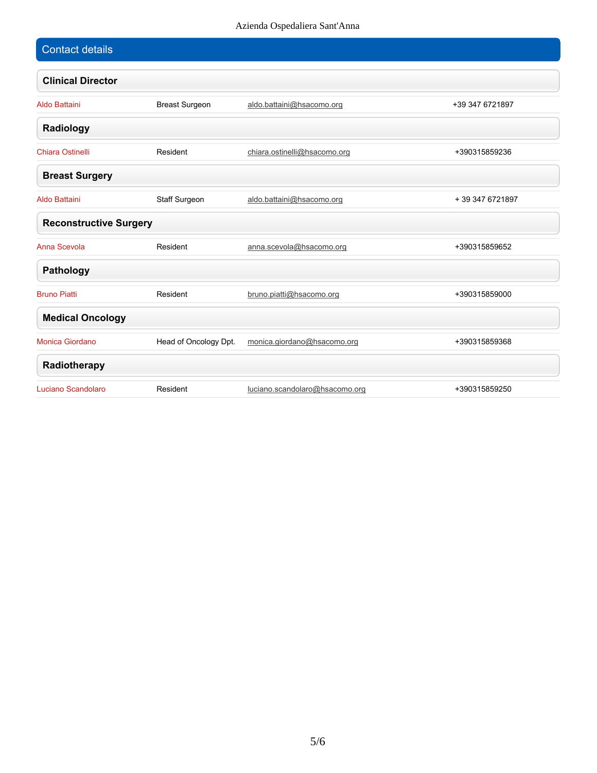| <b>Contact details</b>        |                       |                                |                 |
|-------------------------------|-----------------------|--------------------------------|-----------------|
| <b>Clinical Director</b>      |                       |                                |                 |
| <b>Aldo Battaini</b>          | <b>Breast Surgeon</b> | aldo.battaini@hsacomo.org      | +39 347 6721897 |
| Radiology                     |                       |                                |                 |
| <b>Chiara Ostinelli</b>       | Resident              | chiara.ostinelli@hsacomo.org   | +390315859236   |
| <b>Breast Surgery</b>         |                       |                                |                 |
| <b>Aldo Battaini</b>          | Staff Surgeon         | aldo.battaini@hsacomo.org      | +39 347 6721897 |
| <b>Reconstructive Surgery</b> |                       |                                |                 |
| Anna Scevola                  | Resident              | anna.scevola@hsacomo.org       | +390315859652   |
| <b>Pathology</b>              |                       |                                |                 |
| <b>Bruno Piatti</b>           | Resident              | bruno.piatti@hsacomo.org       | +390315859000   |
| <b>Medical Oncology</b>       |                       |                                |                 |
| Monica Giordano               | Head of Oncology Dpt. | monica.giordano@hsacomo.org    | +390315859368   |
| Radiotherapy                  |                       |                                |                 |
| Luciano Scandolaro            | Resident              | luciano.scandolaro@hsacomo.org | +390315859250   |